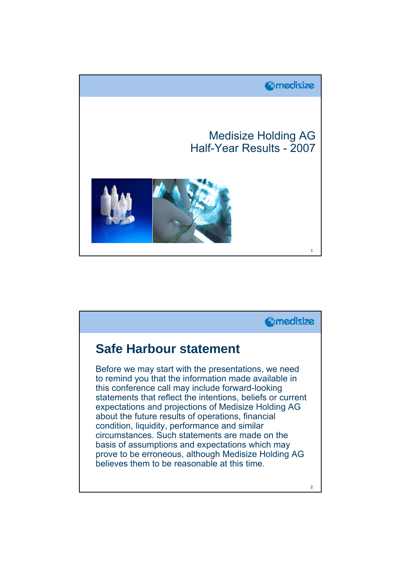

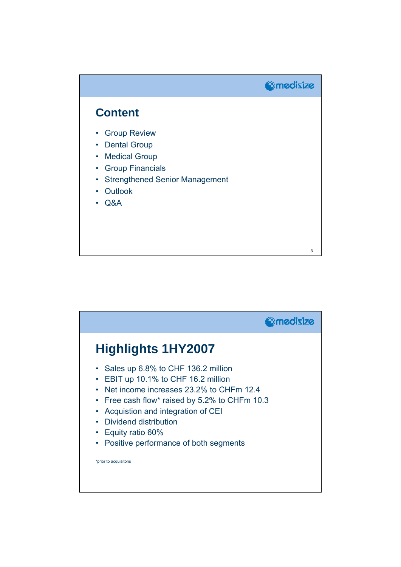

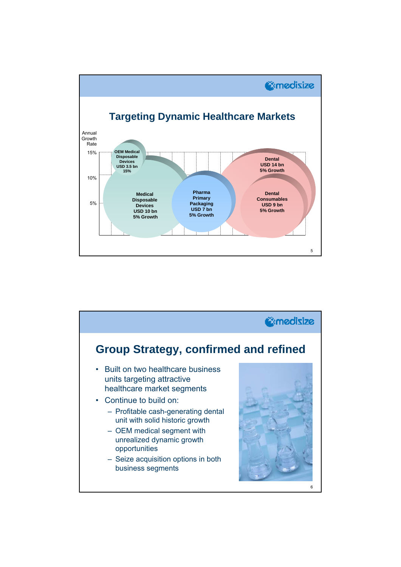

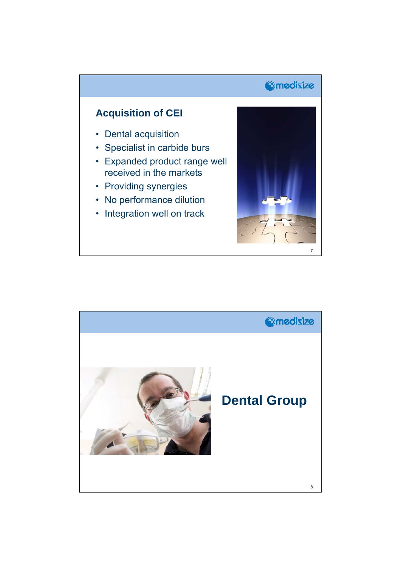# *<u>@medisize</u>*

### **Acquisition of CEI**

- Dental acquisition
- Specialist in carbide burs
- Expanded product range well received in the markets
- Providing synergies
- No performance dilution
- Integration well on track



![](_page_3_Picture_9.jpeg)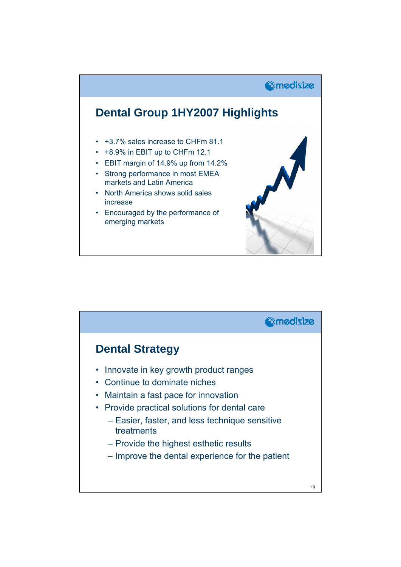![](_page_4_Figure_0.jpeg)

![](_page_4_Figure_1.jpeg)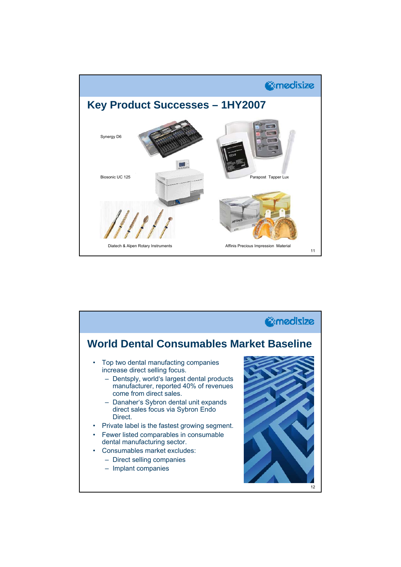![](_page_5_Figure_0.jpeg)

![](_page_5_Figure_1.jpeg)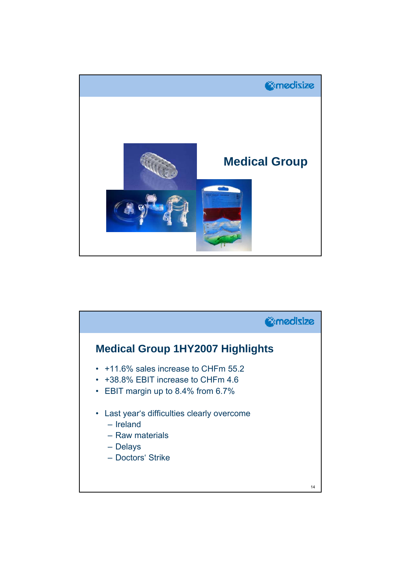![](_page_6_Picture_0.jpeg)

![](_page_6_Figure_1.jpeg)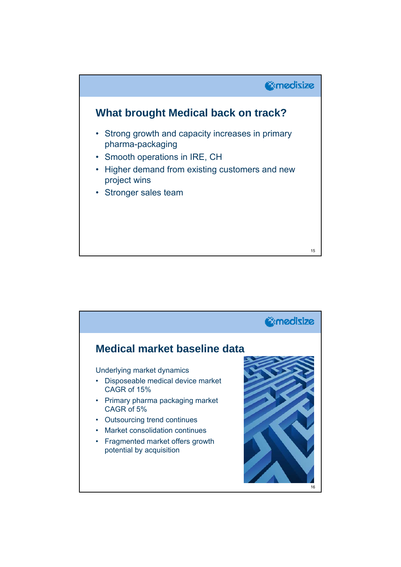![](_page_7_Figure_0.jpeg)

![](_page_7_Picture_1.jpeg)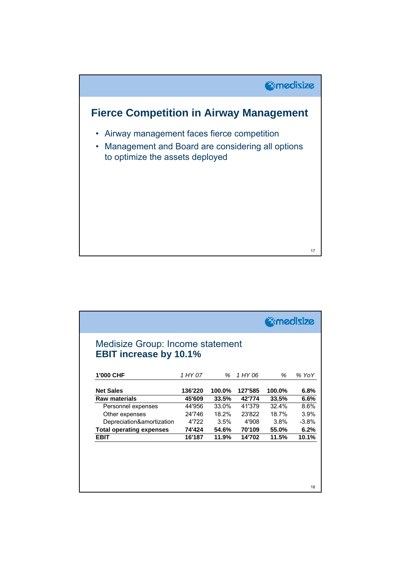![](_page_8_Figure_0.jpeg)

| <b>EBIT increase by 10.1%</b>   |         |        |         |        |         |
|---------------------------------|---------|--------|---------|--------|---------|
| 1'000 CHF                       | 1 HY 07 | %      | 1 HY 06 | %      | % YoY   |
| <b>Net Sales</b>                | 136'220 | 100.0% | 127'585 | 100.0% | 6.8%    |
| <b>Raw materials</b>            | 45'609  | 33.5%  | 42'774  | 33.5%  | 6.6%    |
| Personnel expenses              | 44'956  | 33.0%  | 41'379  | 32.4%  | 8.6%    |
| Other expenses                  | 24'746  | 18.2%  | 23'822  | 18.7%  | 3.9%    |
| Depreciation&amortization       | 4'722   | 3.5%   | 4'908   | 3.8%   | $-3.8%$ |
| <b>Total operating expenses</b> | 74'424  | 54.6%  | 70'109  | 55.0%  | 6.2%    |
| <b>EBIT</b>                     | 16'187  | 11.9%  | 14'702  | 11.5%  | 10.1%   |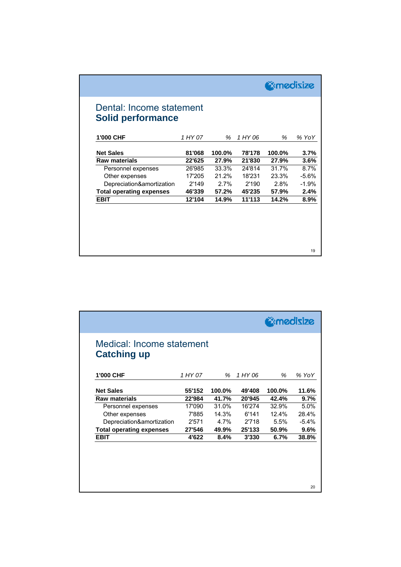| 1'000 CHF                       | 1 HY 07 | %      | 1 HY 06 | %      | % YoY   |
|---------------------------------|---------|--------|---------|--------|---------|
| <b>Net Sales</b>                | 81'068  | 100.0% | 78'178  | 100.0% | 3.7%    |
| <b>Raw materials</b>            | 22'625  | 27.9%  | 21'830  | 27.9%  | 3.6%    |
| Personnel expenses              | 26'985  | 33.3%  | 24'814  | 31.7%  | 8.7%    |
| Other expenses                  | 17'205  | 21.2%  | 18'231  | 23.3%  | $-5.6%$ |
| Depreciation&amortization       | 2'149   | 2.7%   | 2'190   | 2.8%   | $-1.9%$ |
| <b>Total operating expenses</b> | 46'339  | 57.2%  | 45'235  | 57.9%  | 2.4%    |
| <b>EBIT</b>                     | 12'104  | 14.9%  | 11'113  | 14.2%  | 8.9%    |

| Medical: Income statement<br><b>Catching up</b><br>1'000 CHF |         |        |         |          |         |
|--------------------------------------------------------------|---------|--------|---------|----------|---------|
|                                                              |         |        |         |          |         |
|                                                              | 1 HY 07 | $\%$   | 1 HY 06 | %        | % YoY   |
| <b>Net Sales</b>                                             | 55'152  | 100.0% | 49'408  | 100.0%   | 11.6%   |
| <b>Raw materials</b>                                         | 22'984  | 41.7%  | 20'945  | 42.4%    | 9.7%    |
| Personnel expenses                                           | 17'090  | 31.0%  | 16'274  | 32.9%    | 5.0%    |
| Other expenses                                               | 7'885   | 14.3%  | 6'141   | $12.4\%$ | 28.4%   |
| Depreciation&amortization                                    | 2'571   | 4.7%   | 2'718   | 5.5%     | $-5.4%$ |
| <b>Total operating expenses</b>                              | 27'546  | 49.9%  | 25'133  | 50.9%    | 9.6%    |
| <b>EBIT</b>                                                  | 4'622   | 8.4%   | 3'330   | 6.7%     | 38.8%   |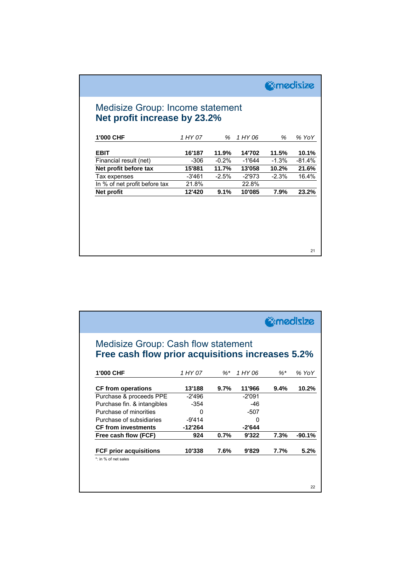| Medisize Group: Income statement |
|----------------------------------|
| Net profit increase by 23.2%     |
|                                  |

| 1'000 CHF                     | 1 HY 07 | %       | 1 HY 06 | %       | % YoY    |
|-------------------------------|---------|---------|---------|---------|----------|
| <b>EBIT</b>                   | 16'187  | 11.9%   | 14'702  | 11.5%   | 10.1%    |
| Financial result (net)        | -306    | $-0.2%$ | -1'644  | $-1.3%$ | $-81.4%$ |
| Net profit before tax         | 15'881  | 11.7%   | 13'058  | 10.2%   | 21.6%    |
| Tax expenses                  | -3'461  | $-2.5%$ | -2'973  | $-2.3%$ | 16.4%    |
| In % of net profit before tax | 21.8%   |         | 22.8%   |         |          |
| Net profit                    | 12'420  | 9.1%    | 10'085  | 7.9%    | 23.2%    |
|                               |         |         |         |         |          |
|                               |         |         |         |         |          |
|                               |         |         |         |         |          |
|                               |         |         |         |         |          |
|                               |         |         |         |         |          |
|                               |         |         |         |         |          |
|                               |         |         |         |         |          |
|                               |         |         |         |         | 21       |

**Omedisize** 

|                                                                                         |           |        |          | <b>E</b> medisize |          |
|-----------------------------------------------------------------------------------------|-----------|--------|----------|-------------------|----------|
| Medisize Group: Cash flow statement<br>Free cash flow prior acquisitions increases 5.2% |           |        |          |                   |          |
| 1'000 CHF                                                                               | 1 HY 07   | $\%$ * | 1 HY 06  | $\% *$            | % YoY    |
| <b>CF from operations</b>                                                               | 13'188    | 9.7%   | 11'966   | 9.4%              | 10.2%    |
| Purchase & proceeds PPE                                                                 | -2'496    |        | -2'091   |                   |          |
| Purchase fin. & intangibles                                                             | $-354$    |        | $-46$    |                   |          |
| Purchase of minorities                                                                  | 0         |        | $-507$   |                   |          |
| Purchase of subsidiaries                                                                | $-9'414$  |        | U        |                   |          |
| <b>CF from investments</b>                                                              | $-12'264$ |        | $-2'644$ |                   |          |
| Free cash flow (FCF)                                                                    | 924       | 0.7%   | 9'322    | 7.3%              | $-90.1%$ |
| <b>FCF prior acquisitions</b>                                                           | 10'338    | 7.6%   | 9'829    | 7.7%              | 5.2%     |
|                                                                                         |           |        |          |                   |          |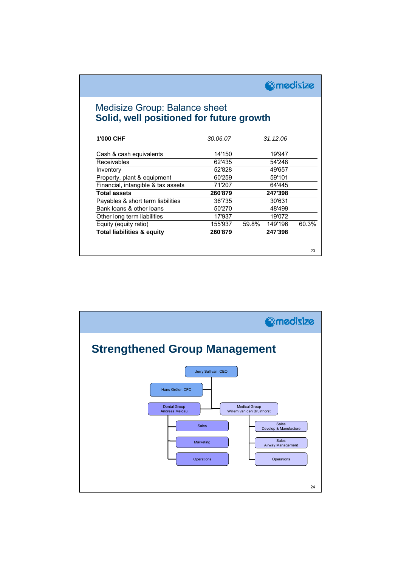*<u>@medisize</u>* 

#### Medisize Group: Balance sheet **Solid, well positioned for future growth**

| 1'000 CHF                             | 30.06.07 |       | 31.12.06 |       |
|---------------------------------------|----------|-------|----------|-------|
| Cash & cash equivalents               | 14'150   |       | 19'947   |       |
| Receivables                           | 62'435   |       | 54'248   |       |
| Inventory                             | 52'828   |       | 49'657   |       |
| Property, plant & equipment           | 60'259   |       | 59'101   |       |
| Financial, intangible & tax assets    | 71'207   |       | 64'445   |       |
| <b>Total assets</b>                   | 260'879  |       | 247'398  |       |
| Payables & short term liabilities     | 36'735   |       | 30'631   |       |
| Bank loans & other loans              | 50'270   |       | 48'499   |       |
| Other long term liabilities           | 17'937   |       | 19'072   |       |
| Equity (equity ratio)                 | 155'937  | 59.8% | 149'196  | 60.3% |
| <b>Total liabilities &amp; equity</b> | 260'879  |       | 247'398  |       |

![](_page_11_Figure_3.jpeg)